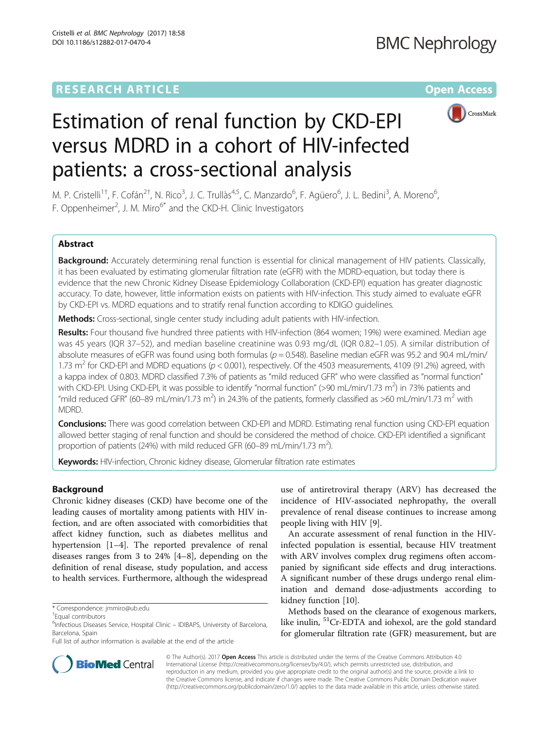# **RESEARCH ARTICLE External Structure Community Community Community Community Community Community Community Community**



# Estimation of renal function by CKD-EPI versus MDRD in a cohort of HIV-infected patients: a cross-sectional analysis

M. P. Cristelli<sup>1†</sup>, F. Cofán<sup>2†</sup>, N. Rico<sup>3</sup>, J. C. Trullàs<sup>4,5</sup>, C. Manzardo<sup>6</sup>, F. Agüero<sup>6</sup>, J. L. Bedini<sup>3</sup>, A. Moreno<sup>6</sup> , F. Oppenheimer<sup>2</sup>, J. M. Miro<sup>6\*</sup> and the CKD-H. Clinic Investigators

# Abstract

Background: Accurately determining renal function is essential for clinical management of HIV patients. Classically, it has been evaluated by estimating glomerular filtration rate (eGFR) with the MDRD-equation, but today there is evidence that the new Chronic Kidney Disease Epidemiology Collaboration (CKD-EPI) equation has greater diagnostic accuracy. To date, however, little information exists on patients with HIV-infection. This study aimed to evaluate eGFR by CKD-EPI vs. MDRD equations and to stratify renal function according to KDIGO guidelines.

Methods: Cross-sectional, single center study including adult patients with HIV-infection.

Results: Four thousand five hundred three patients with HIV-infection (864 women; 19%) were examined. Median age was 45 years (IQR 37–52), and median baseline creatinine was 0.93 mg/dL (IQR 0.82–1.05). A similar distribution of absolute measures of eGFR was found using both formulas ( $p = 0.548$ ). Baseline median eGFR was 95.2 and 90.4 mL/min/ 1.73 m<sup>2</sup> for CKD-EPI and MDRD equations ( $p < 0.001$ ), respectively. Of the 4503 measurements, 4109 (91.2%) agreed, with a kappa index of 0.803. MDRD classified 7.3% of patients as "mild reduced GFR" who were classified as "normal function" with CKD-EPI. Using CKD-EPI, it was possible to identify "normal function" (>90 mL/min/1.73 m<sup>2</sup>) in 73% patients and "mild reduced GFR" (60–89 mL/min/1.73 m<sup>2</sup>) in 24.3% of the patients, formerly classified as >60 mL/min/1.73 m<sup>2</sup> with MDRD.

Conclusions: There was good correlation between CKD-EPI and MDRD. Estimating renal function using CKD-EPI equation allowed better staging of renal function and should be considered the method of choice. CKD-EPI identified a significant proportion of patients (24%) with mild reduced GFR (60-89 mL/min/1.73 m<sup>2</sup>).

Keywords: HIV-infection, Chronic kidney disease, Glomerular filtration rate estimates

# Background

Chronic kidney diseases (CKD) have become one of the leading causes of mortality among patients with HIV infection, and are often associated with comorbidities that affect kidney function, such as diabetes mellitus and hypertension [\[1](#page-5-0)–[4](#page-5-0)]. The reported prevalence of renal diseases ranges from 3 to 24% [[4](#page-5-0)–[8\]](#page-5-0), depending on the definition of renal disease, study population, and access to health services. Furthermore, although the widespread

use of antiretroviral therapy (ARV) has decreased the incidence of HIV-associated nephropathy, the overall prevalence of renal disease continues to increase among people living with HIV [\[9](#page-5-0)].

An accurate assessment of renal function in the HIVinfected population is essential, because HIV treatment with ARV involves complex drug regimens often accompanied by significant side effects and drug interactions. A significant number of these drugs undergo renal elimination and demand dose-adjustments according to kidney function [[10\]](#page-6-0).

Methods based on the clearance of exogenous markers, like inulin, <sup>51</sup>Cr-EDTA and iohexol, are the gold standard for glomerular filtration rate (GFR) measurement, but are



© The Author(s). 2017 **Open Access** This article is distributed under the terms of the Creative Commons Attribution 4.0 International License [\(http://creativecommons.org/licenses/by/4.0/](http://creativecommons.org/licenses/by/4.0/)), which permits unrestricted use, distribution, and reproduction in any medium, provided you give appropriate credit to the original author(s) and the source, provide a link to the Creative Commons license, and indicate if changes were made. The Creative Commons Public Domain Dedication waiver [\(http://creativecommons.org/publicdomain/zero/1.0/](http://creativecommons.org/publicdomain/zero/1.0/)) applies to the data made available in this article, unless otherwise stated.

<sup>\*</sup> Correspondence: [jmmiro@ub.edu](mailto:jmmiro@ub.edu) †

Equal contributors

<sup>&</sup>lt;sup>6</sup>Infectious Diseases Service, Hospital Clinic - IDIBAPS, University of Barcelona, Barcelona, Spain

Full list of author information is available at the end of the article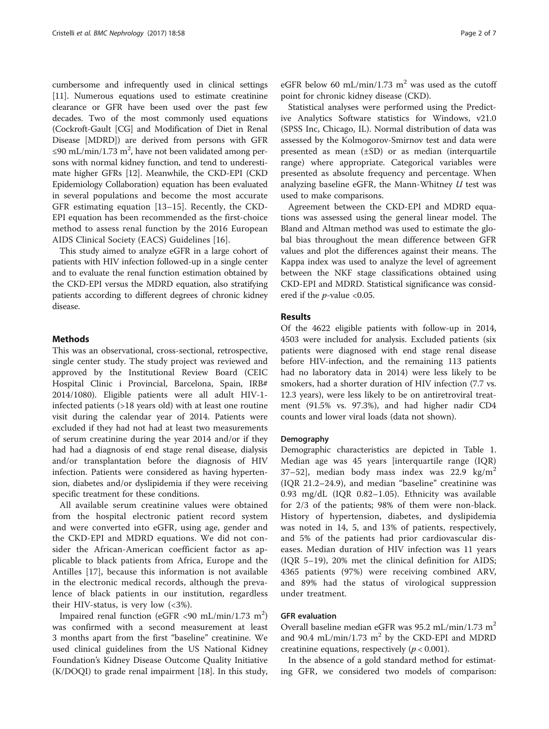cumbersome and infrequently used in clinical settings [[11](#page-6-0)]. Numerous equations used to estimate creatinine clearance or GFR have been used over the past few decades. Two of the most commonly used equations (Cockroft-Gault [CG] and Modification of Diet in Renal Disease [MDRD]) are derived from persons with GFR ≤90 mL/min/1.73 m<sup>2</sup>, have not been validated among persons with normal kidney function, and tend to underestimate higher GFRs [\[12](#page-6-0)]. Meanwhile, the CKD-EPI (CKD Epidemiology Collaboration) equation has been evaluated in several populations and become the most accurate GFR estimating equation [[13](#page-6-0)–[15](#page-6-0)]. Recently, the CKD-EPI equation has been recommended as the first-choice method to assess renal function by the 2016 European AIDS Clinical Society (EACS) Guidelines [\[16](#page-6-0)].

This study aimed to analyze eGFR in a large cohort of patients with HIV infection followed-up in a single center and to evaluate the renal function estimation obtained by the CKD-EPI versus the MDRD equation, also stratifying patients according to different degrees of chronic kidney disease.

# Methods

This was an observational, cross-sectional, retrospective, single center study. The study project was reviewed and approved by the Institutional Review Board (CEIC Hospital Clinic i Provincial, Barcelona, Spain, IRB# 2014/1080). Eligible patients were all adult HIV-1 infected patients (>18 years old) with at least one routine visit during the calendar year of 2014. Patients were excluded if they had not had at least two measurements of serum creatinine during the year 2014 and/or if they had had a diagnosis of end stage renal disease, dialysis and/or transplantation before the diagnosis of HIV infection. Patients were considered as having hypertension, diabetes and/or dyslipidemia if they were receiving specific treatment for these conditions.

All available serum creatinine values were obtained from the hospital electronic patient record system and were converted into eGFR, using age, gender and the CKD-EPI and MDRD equations. We did not consider the African-American coefficient factor as applicable to black patients from Africa, Europe and the Antilles [\[17](#page-6-0)], because this information is not available in the electronic medical records, although the prevalence of black patients in our institution, regardless their HIV-status, is very low  $\left( < 3\% \right)$ .

Impaired renal function (eGFR <90 mL/min/1.73 m<sup>2</sup>) was confirmed with a second measurement at least 3 months apart from the first "baseline" creatinine. We used clinical guidelines from the US National Kidney Foundation's Kidney Disease Outcome Quality Initiative (K/DOQI) to grade renal impairment [[18\]](#page-6-0). In this study, eGFR below 60 mL/min/1.73 m<sup>2</sup> was used as the cutoff point for chronic kidney disease (CKD).

Statistical analyses were performed using the Predictive Analytics Software statistics for Windows, v21.0 (SPSS Inc, Chicago, IL). Normal distribution of data was assessed by the Kolmogorov-Smirnov test and data were presented as mean (±SD) or as median (interquartile range) where appropriate. Categorical variables were presented as absolute frequency and percentage. When analyzing baseline eGFR, the Mann-Whitney  $U$  test was used to make comparisons.

Agreement between the CKD-EPI and MDRD equations was assessed using the general linear model. The Bland and Altman method was used to estimate the global bias throughout the mean difference between GFR values and plot the differences against their means. The Kappa index was used to analyze the level of agreement between the NKF stage classifications obtained using CKD-EPI and MDRD. Statistical significance was considered if the  $p$ -value <0.05.

# Results

Of the 4622 eligible patients with follow-up in 2014, 4503 were included for analysis. Excluded patients (six patients were diagnosed with end stage renal disease before HIV-infection, and the remaining 113 patients had no laboratory data in 2014) were less likely to be smokers, had a shorter duration of HIV infection (7.7 vs. 12.3 years), were less likely to be on antiretroviral treatment (91.5% vs. 97.3%), and had higher nadir CD4 counts and lower viral loads (data not shown).

#### Demography

Demographic characteristics are depicted in Table [1](#page-2-0). Median age was 45 years [interquartile range (IQR) 37–52], median body mass index was 22.9  $\text{kg/m}^2$ (IQR 21.2–24.9), and median "baseline" creatinine was 0.93 mg/dL (IQR 0.82–1.05). Ethnicity was available for 2/3 of the patients; 98% of them were non-black. History of hypertension, diabetes, and dyslipidemia was noted in 14, 5, and 13% of patients, respectively, and 5% of the patients had prior cardiovascular diseases. Median duration of HIV infection was 11 years (IQR 5–19), 20% met the clinical definition for AIDS; 4365 patients (97%) were receiving combined ARV, and 89% had the status of virological suppression under treatment.

# GFR evaluation

Overall baseline median eGFR was  $95.2$  mL/min/1.73 m<sup>2</sup> and 90.4 mL/min/1.73  $m^2$  by the CKD-EPI and MDRD creatinine equations, respectively  $(p < 0.001)$ .

In the absence of a gold standard method for estimating GFR, we considered two models of comparison: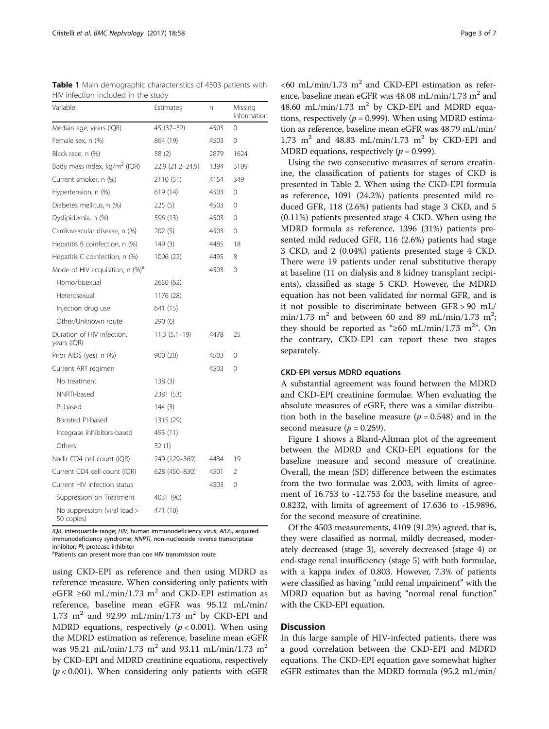| Variable                                    | Estimates        | n    | Missing<br>information |  |
|---------------------------------------------|------------------|------|------------------------|--|
| Median age, years (IQR)                     | 45 (37-52)       | 4503 | $\Omega$               |  |
| Female sex, n (%)                           | 864 (19)         | 4503 | 0                      |  |
| Black race, n (%)                           | 58 (2)           | 2879 | 1624                   |  |
| Body mass index, $kg/m2$ (IQR)              | 22.9 (21.2–24.9) | 1394 | 3109                   |  |
| Current smoker, n (%)                       | 2110 (51)        | 4154 | 349                    |  |
| Hypertension, n (%)                         | 619 (14)         | 4503 | $\Omega$               |  |
| Diabetes mellitus, n (%)                    | 225(5)           | 4503 | $\Omega$               |  |
| Dyslipidemia, n (%)                         | 596 (13)         | 4503 | $\Omega$               |  |
| Cardiovascular disease, n (%)               | 202 (5)          | 4503 | $\Omega$               |  |
| Hepatitis B coinfection, n (%)              | 149(3)           | 4485 | 18                     |  |
| Hepatitis C coinfection, n (%)              | 1006 (22)        | 4495 | 8                      |  |
| Mode of HIV acquisition, n (%) <sup>a</sup> |                  | 4503 | 0                      |  |
| Homo/bisexual                               | 2650 (62)        |      |                        |  |
| Heterosexual                                | 1176 (28)        |      |                        |  |
| Injection drug use                          | 641 (15)         |      |                        |  |
| Other/Unknown route                         | 290 (6)          |      |                        |  |
| Duration of HIV infection,<br>years (IQR)   | $11.3(5.1-19)$   | 4478 | 25                     |  |
| Prior AIDS (yes), n (%)                     | 900 (20)         | 4503 | $\Omega$               |  |
| Current ART regimen                         |                  | 4503 | $\Omega$               |  |
| No treatment                                | 138(3)           |      |                        |  |
| NNRTI-based                                 | 2381 (53)        |      |                        |  |
| PI-based                                    | 144(3)           |      |                        |  |
| Boosted PI-based                            | 1315 (29)        |      |                        |  |
| Integrase inhibitors-based                  | 493 (11)         |      |                        |  |
| Others                                      | 32 (1)           |      |                        |  |
| Nadir CD4 cell count (IQR)                  | 249 (129–369)    | 4484 | 19                     |  |
| Current CD4 cell count (IQR)                | 628 (450-830)    | 4501 | 2                      |  |
| Current HIV infection status                |                  | 4503 | 0                      |  |
| Suppression on Treatment                    | 4031 (90)        |      |                        |  |
| No suppression (viral load ><br>50 copies)  | 471 (10)         |      |                        |  |

<span id="page-2-0"></span>Table 1 Main demographic characteristics of 4503 patients with HIV infection included in the study

IQR, interquartile range; HIV, human immunodeficiency virus; AIDS, acquired immunodeficiency syndrome; NNRTI, non-nucleoside reverse transcriptase inhibitor; PI, protease inhibitor inhibitor; *PI*, protease inhibitor<br><sup>a</sup>Patients can present more than one HIV transmission route

using CKD-EPI as reference and then using MDRD as reference measure. When considering only patients with eGFR ≥60 mL/min/1.73 m<sup>2</sup> and CKD-EPI estimation as reference, baseline mean eGFR was 95.12 mL/min/ 1.73  $m^2$  and 92.99 mL/min/1.73  $m^2$  by CKD-EPI and MDRD equations, respectively ( $p < 0.001$ ). When using the MDRD estimation as reference, baseline mean eGFR was 95.21 mL/min/1.73 m<sup>2</sup> and 93.11 mL/min/1.73 m<sup>2</sup> by CKD-EPI and MDRD creatinine equations, respectively  $(p < 0.001)$ . When considering only patients with eGFR

 $<$  60 mL/min/1.73 m<sup>2</sup> and CKD-EPI estimation as reference, baseline mean eGFR was  $48.08$  mL/min/1.73 m<sup>2</sup> and 48.60 mL/min/1.73 m<sup>2</sup> by CKD-EPI and MDRD equations, respectively ( $p = 0.999$ ). When using MDRD estimation as reference, baseline mean eGFR was 48.79 mL/min/ 1.73  $m^2$  and 48.83 mL/min/1.73  $m^2$  by CKD-EPI and MDRD equations, respectively ( $p = 0.999$ ).

Using the two consecutive measures of serum creatinine, the classification of patients for stages of CKD is presented in Table [2](#page-3-0). When using the CKD-EPI formula as reference, 1091 (24.2%) patients presented mild reduced GFR, 118 (2.6%) patients had stage 3 CKD, and 5 (0.11%) patients presented stage 4 CKD. When using the MDRD formula as reference, 1396 (31%) patients presented mild reduced GFR, 116 (2.6%) patients had stage 3 CKD, and 2 (0.04%) patients presented stage 4 CKD. There were 19 patients under renal substitutive therapy at baseline (11 on dialysis and 8 kidney transplant recipients), classified as stage 5 CKD. However, the MDRD equation has not been validated for normal GFR, and is it not possible to discriminate between GFR > 90 mL/ min/1.73 m<sup>2</sup> and between 60 and 89 mL/min/1.73 m<sup>2</sup>; they should be reported as "≥60 mL/min/1.73 m<sup>2</sup>". On the contrary, CKD-EPI can report these two stages separately.

# CKD-EPI versus MDRD equations

A substantial agreement was found between the MDRD and CKD-EPI creatinine formulae. When evaluating the absolute measures of eGRF, there was a similar distribution both in the baseline measure ( $p = 0.548$ ) and in the second measure ( $p = 0.259$ ).

Figure [1](#page-4-0) shows a Bland-Altman plot of the agreement between the MDRD and CKD-EPI equations for the baseline measure and second measure of creatinine. Overall, the mean (SD) difference between the estimates from the two formulae was 2.003, with limits of agreement of 16.753 to -12.753 for the baseline measure, and 0.8232, with limits of agreement of 17.636 to -15.9896, for the second measure of creatinine.

Of the 4503 measurements, 4109 (91.2%) agreed, that is, they were classified as normal, mildly decreased, moderately decreased (stage 3), severely decreased (stage 4) or end-stage renal insufficiency (stage 5) with both formulae, with a kappa index of 0.803. However, 7.3% of patients were classified as having "mild renal impairment" with the MDRD equation but as having "normal renal function" with the CKD-EPI equation.

# **Discussion**

In this large sample of HIV-infected patients, there was a good correlation between the CKD-EPI and MDRD equations. The CKD-EPI equation gave somewhat higher eGFR estimates than the MDRD formula (95.2 mL/min/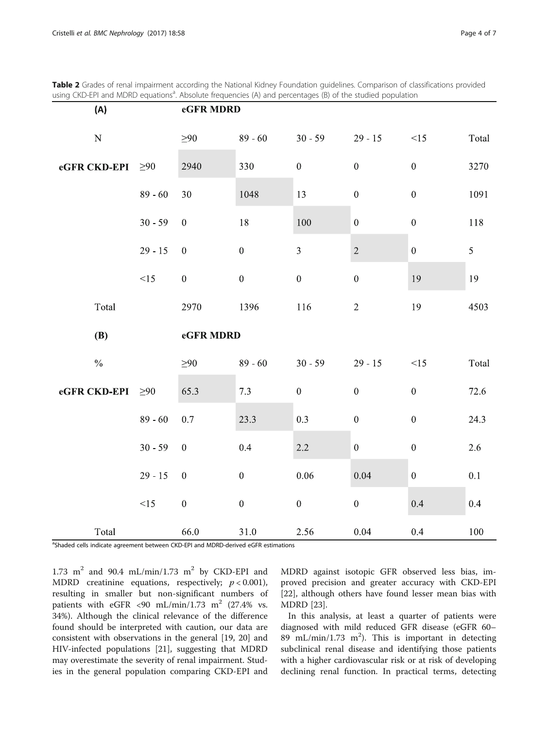<span id="page-3-0"></span>Table 2 Grades of renal impairment according the National Kidney Foundation guidelines. Comparison of classifications provided using CKD-EPI and MDRD equations<sup>a</sup>. Absolute frequencies (A) and percentages (B) of the studied population

| (A)           |           | eGFR MDRD        |                  |                  |                  |                  |       |
|---------------|-----------|------------------|------------------|------------------|------------------|------------------|-------|
| ${\bf N}$     |           | $\geq 90$        | $89 - 60$        | $30 - 59$        | $29 - 15$        | <15              | Total |
| eGFR CKD-EPI  | $\geq 90$ | 2940             | 330              | $\boldsymbol{0}$ | $\boldsymbol{0}$ | $\boldsymbol{0}$ | 3270  |
|               | $89 - 60$ | 30               | 1048             | 13               | $\boldsymbol{0}$ | $\boldsymbol{0}$ | 1091  |
|               | $30 - 59$ | $\boldsymbol{0}$ | 18               | 100              | $\boldsymbol{0}$ | $\boldsymbol{0}$ | 118   |
|               | $29 - 15$ | $\boldsymbol{0}$ | $\boldsymbol{0}$ | $\overline{3}$   | $\sqrt{2}$       | $\boldsymbol{0}$ | 5     |
|               | <15       | $\boldsymbol{0}$ | $\boldsymbol{0}$ | $\boldsymbol{0}$ | $\boldsymbol{0}$ | 19               | 19    |
| Total         |           | 2970             | 1396             | 116              | $\sqrt{2}$       | 19               | 4503  |
|               |           | eGFR MDRD        |                  |                  |                  |                  |       |
| (B)           |           |                  |                  |                  |                  |                  |       |
| $\frac{0}{0}$ |           | $\geq 90$        | $89 - 60$        | $30 - 59$        | $29 - 15$        | <15              | Total |
| eGFR CKD-EPI  | $\geq 90$ | 65.3             | 7.3              | $\boldsymbol{0}$ | $\boldsymbol{0}$ | $\boldsymbol{0}$ | 72.6  |
|               | $89 - 60$ | $0.7\,$          | 23.3             | 0.3              | $\boldsymbol{0}$ | $\boldsymbol{0}$ | 24.3  |
|               | $30 - 59$ | $\boldsymbol{0}$ | 0.4              | 2.2              | $\boldsymbol{0}$ | $\boldsymbol{0}$ | 2.6   |
|               | $29 - 15$ | $\boldsymbol{0}$ | $\boldsymbol{0}$ | 0.06             | 0.04             | $\boldsymbol{0}$ | 0.1   |
|               | <15       | $\boldsymbol{0}$ | $\boldsymbol{0}$ | $\boldsymbol{0}$ | $\boldsymbol{0}$ | 0.4              | 0.4   |

<sup>a</sup>Shaded cells indicate agreement between CKD-EPI and MDRD-derived eGFR estimations

1.73  $m^2$  and 90.4 mL/min/1.73  $m^2$  by CKD-EPI and MDRD creatinine equations, respectively;  $p < 0.001$ ), resulting in smaller but non-significant numbers of patients with eGFR <90 mL/min/1.73 m<sup>2</sup> (27.4% vs. 34%). Although the clinical relevance of the difference found should be interpreted with caution, our data are consistent with observations in the general [\[19, 20\]](#page-6-0) and HIV-infected populations [[21](#page-6-0)], suggesting that MDRD may overestimate the severity of renal impairment. Studies in the general population comparing CKD-EPI and MDRD against isotopic GFR observed less bias, improved precision and greater accuracy with CKD-EPI [[22\]](#page-6-0), although others have found lesser mean bias with MDRD [\[23](#page-6-0)].

In this analysis, at least a quarter of patients were diagnosed with mild reduced GFR disease (eGFR 60– 89 mL/min/1.73 m<sup>2</sup>). This is important in detecting subclinical renal disease and identifying those patients with a higher cardiovascular risk or at risk of developing declining renal function. In practical terms, detecting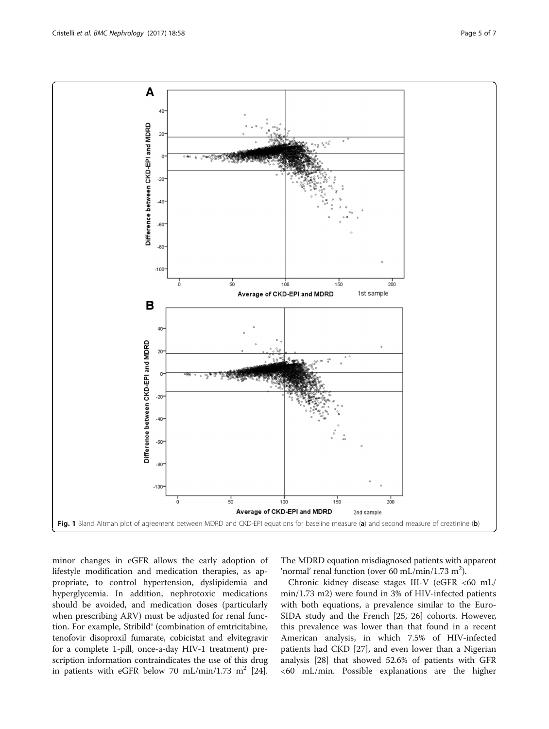<span id="page-4-0"></span>

minor changes in eGFR allows the early adoption of lifestyle modification and medication therapies, as appropriate, to control hypertension, dyslipidemia and hyperglycemia. In addition, nephrotoxic medications should be avoided, and medication doses (particularly when prescribing ARV) must be adjusted for renal function. For example, Stribild® (combination of emtricitabine, tenofovir disoproxil fumarate, cobicistat and elvitegravir for a complete 1-pill, once-a-day HIV-1 treatment) prescription information contraindicates the use of this drug in patients with eGFR below 70 mL/min/1.73 m<sup>2</sup> [[24](#page-6-0)]. The MDRD equation misdiagnosed patients with apparent 'normal' renal function (over 60 mL/min/1.73 m<sup>2</sup>).

Chronic kidney disease stages III-V (eGFR <60 mL/ min/1.73 m2) were found in 3% of HIV-infected patients with both equations, a prevalence similar to the Euro-SIDA study and the French [[25, 26\]](#page-6-0) cohorts. However, this prevalence was lower than that found in a recent American analysis, in which 7.5% of HIV-infected patients had CKD [[27](#page-6-0)], and even lower than a Nigerian analysis [\[28\]](#page-6-0) that showed 52.6% of patients with GFR <60 mL/min. Possible explanations are the higher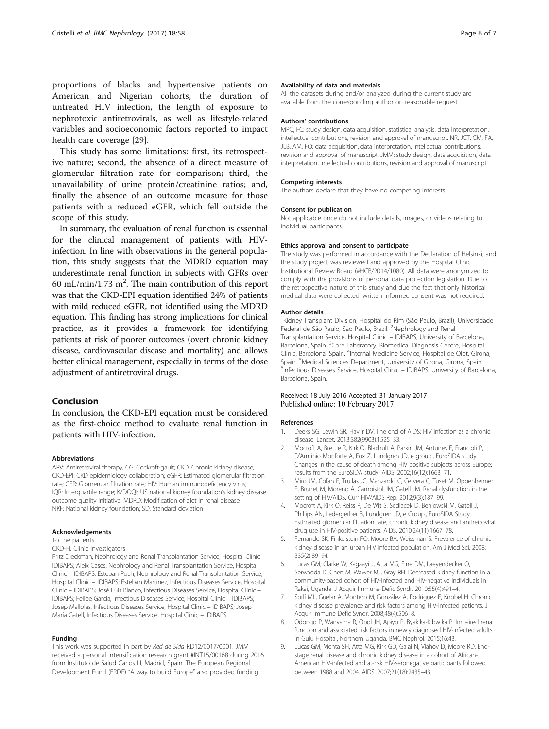<span id="page-5-0"></span>proportions of blacks and hypertensive patients on American and Nigerian cohorts, the duration of untreated HIV infection, the length of exposure to nephrotoxic antiretrovirals, as well as lifestyle-related variables and socioeconomic factors reported to impact health care coverage [\[29](#page-6-0)].

This study has some limitations: first, its retrospective nature; second, the absence of a direct measure of glomerular filtration rate for comparison; third, the unavailability of urine protein/creatinine ratios; and, finally the absence of an outcome measure for those patients with a reduced eGFR, which fell outside the scope of this study.

In summary, the evaluation of renal function is essential for the clinical management of patients with HIVinfection. In line with observations in the general population, this study suggests that the MDRD equation may underestimate renal function in subjects with GFRs over 60 mL/min/1.73 m<sup>2</sup>. The main contribution of this report was that the CKD-EPI equation identified 24% of patients with mild reduced eGFR, not identified using the MDRD equation. This finding has strong implications for clinical practice, as it provides a framework for identifying patients at risk of poorer outcomes (overt chronic kidney disease, cardiovascular disease and mortality) and allows better clinical management, especially in terms of the dose adjustment of antiretroviral drugs.

# Conclusion

In conclusion, the CKD-EPI equation must be considered as the first-choice method to evaluate renal function in patients with HIV-infection.

#### Abbreviations

ARV: Antiretroviral therapy; CG: Cockroft-gault; CKD: Chronic kidney disease; CKD-EPI: CKD epidemiology collaboration; eGFR: Estimated glomerular filtration rate; GFR: Glomerular filtration rate; HIV: Human immunodeficiency virus; IQR: Interquartile range; K/DOQI: US national kidney foundation's kidney disease outcome quality initiative; MDRD: Modification of diet in renal disease; NKF: National kidney foundation; SD: Standard deviation

#### Acknowledgements

To the patients.

#### CKD-H. Clinic Investigators

Fritz Dieckman, Nephrology and Renal Transplantation Service, Hospital Clinic – IDIBAPS; Aleix Cases, Nephrology and Renal Transplantation Service, Hospital Clinic – IDIBAPS; Esteban Poch, Nephrology and Renal Transplantation Service, Hospital Clinic – IDIBAPS; Esteban Martinez, Infectious Diseases Service, Hospital Clinic – IDIBAPS; José Luís Blanco, Infectious Diseases Service, Hospital Clinic – IDIBAPS; Felipe García, Infectious Diseases Service, Hospital Clinic – IDIBAPS; Josep Mallolas, Infectious Diseases Service, Hospital Clinic – IDIBAPS; Josep María Gatell, Infectious Diseases Service, Hospital Clinic – IDIBAPS.

#### Funding

This work was supported in part by Red de Sida RD12/0017/0001. JMM received a personal intensification research grant #INT15/00168 during 2016 from Instituto de Salud Carlos III, Madrid, Spain. The European Regional Development Fund (ERDF) "A way to build Europe" also provided funding.

#### Availability of data and materials

All the datasets during and/or analyzed during the current study are available from the corresponding author on reasonable request.

#### Authors' contributions

MPC, FC: study design, data acquisition, statistical analysis, data interpretation, intellectual contributions, revision and approval of manuscript. NR, JCT, CM, FA, JLB, AM, FO: data acquisition, data interpretation, intellectual contributions, revision and approval of manuscript. JMM: study design, data acquisition, data interpretation, intellectual contributions, revision and approval of manuscript.

#### Competing interests

The authors declare that they have no competing interests.

#### Consent for publication

Not applicable once do not include details, images, or videos relating to individual participants.

#### Ethics approval and consent to participate

The study was performed in accordance with the Declaration of Helsinki, and the study project was reviewed and approved by the Hospital Clinic Institutional Review Board (#HCB/2014/1080). All data were anonymized to comply with the provisions of personal data protection legislation. Due to the retrospective nature of this study and due the fact that only historical medical data were collected, written informed consent was not required.

#### Author details

<sup>1</sup> Kidney Transplant Division, Hospital do Rim (São Paulo, Brazil), Universidade Federal de São Paulo, São Paulo, Brazil. <sup>2</sup>Nephrology and Renal Transplantation Service, Hospital Clinic – IDIBAPS, University of Barcelona, Barcelona, Spain. <sup>3</sup>Core Laboratory, Biomedical Diagnosis Centre, Hospital Clínic, Barcelona, Spain. <sup>4</sup>Internal Medicine Service, Hospital de Olot, Girona, Spain. <sup>5</sup>Medical Sciences Department, University of Girona, Girona, Spain.<br><sup>6</sup>Infectious Disoases Sonico Hospital Clinic - JDIBARS University of Barco <sup>6</sup>Infectious Diseases Service, Hospital Clinic - IDIBAPS, University of Barcelona, Barcelona, Spain.

### Received: 18 July 2016 Accepted: 31 January 2017 Published online: 10 February 2017

#### References

- 1. Deeks SG, Lewin SR, Havlir DV. The end of AIDS: HIV infection as a chronic disease. Lancet. 2013;382(9903):1525–33.
- 2. Mocroft A, Brettle R, Kirk O, Blaxhult A, Parkin JM, Antunes F, Francioli P, D'Arminio Monforte A, Fox Z, Lundgren JD, e group., EuroSIDA study. Changes in the cause of death among HIV positive subjects across Europe: results from the EuroSIDA study. AIDS. 2002;16(12):1663–71.
- 3. Miro JM, Cofan F, Trullas JC, Manzardo C, Cervera C, Tuset M, Oppenheimer F, Brunet M, Moreno A, Campistol JM, Gatell JM. Renal dysfunction in the setting of HIV/AIDS. Curr HIV/AIDS Rep. 2012;9(3):187–99.
- 4. Mocroft A, Kirk O, Reiss P, De Wit S, Sedlacek D, Beniowski M, Gatell J, Phillips AN, Ledergerber B, Lundgren JD, e Group., EuroSIDA Study. Estimated glomerular filtration rate, chronic kidney disease and antiretroviral drug use in HIV-positive patients. AIDS. 2010;24(11):1667–78.
- 5. Fernando SK, Finkelstein FO, Moore BA, Weissman S. Prevalence of chronic kidney disease in an urban HIV infected population. Am J Med Sci. 2008; 335(2):89–94.
- 6. Lucas GM, Clarke W, Kagaayi J, Atta MG, Fine DM, Laeyendecker O, Serwadda D, Chen M, Wawer MJ, Gray RH. Decreased kidney function in a community-based cohort of HIV-Infected and HIV-negative individuals in Rakai, Uganda. J Acquir Immune Defic Syndr. 2010;55(4):491–4.
- 7. Sorlí ML, Guelar A, Montero M, González A, Rodriguez E, Knobel H. Chronic kidney disease prevalence and risk factors among HIV-infected patients. J Acquir Immune Defic Syndr. 2008;48(4):506–8.
- 8. Odongo P, Wanyama R, Obol JH, Apiyo P, Byakika-Kibwika P. Impaired renal function and associated risk factors in newly diagnosed HIV-infected adults in Gulu Hospital, Northern Uganda. BMC Nephrol. 2015;16:43.
- 9. Lucas GM, Mehta SH, Atta MG, Kirk GD, Galai N, Vlahov D, Moore RD. Endstage renal disease and chronic kidney disease in a cohort of African-American HIV-infected and at-risk HIV-seronegative participants followed between 1988 and 2004. AIDS. 2007;21(18):2435–43.